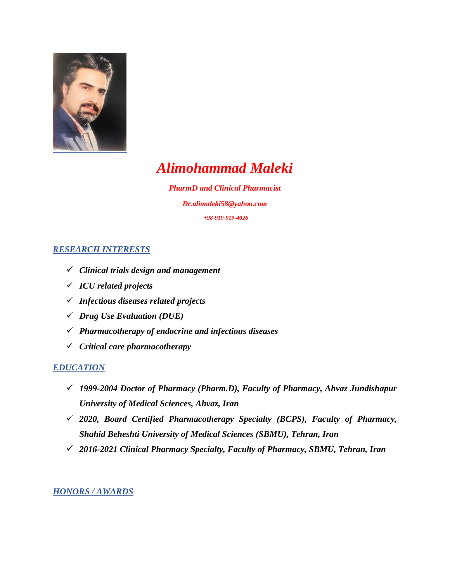

# *Alimohammad Maleki*

*PharmD and Clinical Pharmacist [Dr.alimaleki58@yahoo.com](mailto:Dr.alimaleki58@yahoo.com,) +98-919-919-4026*

# *RESEARCH INTERESTS*

- *Clinical trials design and management*
- *ICU related projects*
- *Infectious diseases related projects*
- *Drug Use Evaluation (DUE)*
- *Pharmacotherapy of endocrine and infectious diseases*
- *Critical care pharmacotherapy*

## *EDUCATION*

- *1999-2004 Doctor of Pharmacy (Pharm.D), Faculty of Pharmacy, Ahvaz Jundishapur University of Medical Sciences, Ahvaz, Iran*
- *2020, Board Certified Pharmacotherapy Specialty (BCPS), Faculty of Pharmacy, Shahid Beheshti University of Medical Sciences (SBMU), Tehran, Iran*
- *2016-2021 Clinical Pharmacy Specialty, Faculty of Pharmacy, SBMU, Tehran, Iran*

## *HONORS / AWARDS*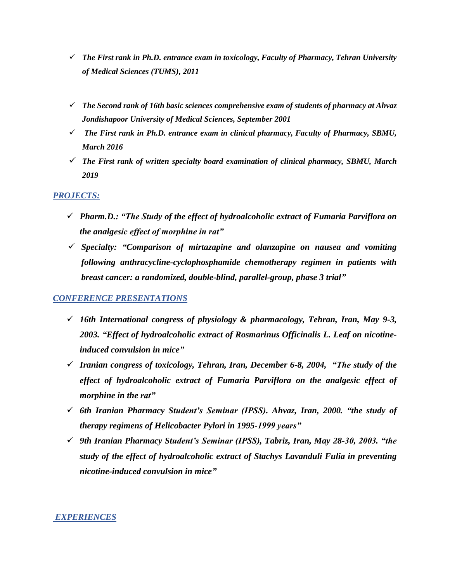- *The First rank in Ph.D. entrance exam in toxicology, Faculty of Pharmacy, Tehran University of Medical Sciences (TUMS), 2011*
- *The Second rank of 16th basic sciences comprehensive exam of students of pharmacy at Ahvaz Jondishapoor University of Medical Sciences, September 2001*
- *The First rank in Ph.D. entrance exam in clinical pharmacy, Faculty of Pharmacy, SBMU, March 2016*
- *The First rank of written specialty board examination of clinical pharmacy, SBMU, March 2019*

#### *PROJECTS:*

- *Pharm.D.: "The Study of the effect of hydroalcoholic extract of Fumaria Parviflora on the analgesic effect of morphine in rat"*
- *Specialty: "Comparison of mirtazapine and olanzapine on nausea and vomiting following anthracycline-cyclophosphamide chemotherapy regimen in patients with breast cancer: a randomized, double-blind, parallel-group, phase 3 trial"*

#### *CONFERENCE PRESENTATIONS*

- *16th International congress of physiology & pharmacology, Tehran, Iran, May 9-3, 2003. "Effect of hydroalcoholic extract of Rosmarinus Officinalis L. Leaf on nicotineinduced convulsion in mice"*
- *Iranian congress of toxicology, Tehran, Iran, December 6-8, 2004, "The study of the*  effect of hydroalcoholic extract of Fumaria Parviflora on the analgesic effect of *morphine in the rat"*
- *6th Iranian Pharmacy Student's Seminar (IPSS). Ahvaz, Iran, 2000. "the study of therapy regimens of Helicobacter Pylori in 1995-1999 years"*
- *9th Iranian Pharmacy Student's Seminar (IPSS), Tabriz, Iran, May 28-30, 2003. "the study of the effect of hydroalcoholic extract of Stachys Lavanduli Fulia in preventing nicotine-induced convulsion in mice"*

#### *EXPERIENCES*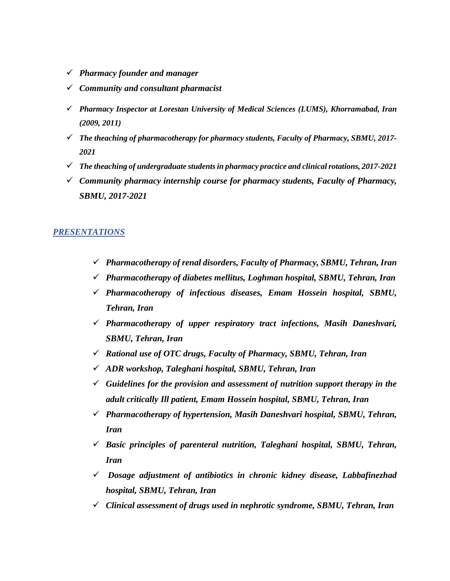- *Pharmacy founder and manager*
- *Community and consultant pharmacist*
- *Pharmacy Inspector at Lorestan University of Medical Sciences (LUMS), Khorramabad, Iran (2009, 2011)*
- *The theaching of pharmacotherapy for pharmacy students, Faculty of Pharmacy, SBMU, 2017- 2021*
- *The theaching of undergraduate students in pharmacy practice and clinical rotations, 2017-2021*
- *Community pharmacy internship course for pharmacy students, Faculty of Pharmacy, SBMU, 2017-2021*

#### *PRESENTATIONS*

- *Pharmacotherapy of renal disorders, Faculty of Pharmacy, SBMU, Tehran, Iran*
- *Pharmacotherapy of diabetes mellitus, Loghman hospital, SBMU, Tehran, Iran*
- *Pharmacotherapy of infectious diseases, Emam Hossein hospital, SBMU, Tehran, Iran*
- *Pharmacotherapy of upper respiratory tract infections, Masih Daneshvari, SBMU, Tehran, Iran*
- *Rational use of OTC drugs, Faculty of Pharmacy, SBMU, Tehran, Iran*
- *ADR workshop, Taleghani hospital, SBMU, Tehran, Iran*
- *Guidelines for the provision and assessment of nutrition support therapy in the adult critically Ill patient, Emam Hossein hospital, SBMU, Tehran, Iran*
- *Pharmacotherapy of hypertension, Masih Daneshvari hospital, SBMU, Tehran, Iran*
- *Basic principles of parenteral nutrition, Taleghani hospital, SBMU, Tehran, Iran*
- *Dosage adjustment of antibiotics in chronic kidney disease, Labbafinezhad hospital, SBMU, Tehran, Iran*
- *Clinical assessment of drugs used in nephrotic syndrome, SBMU, Tehran, Iran*